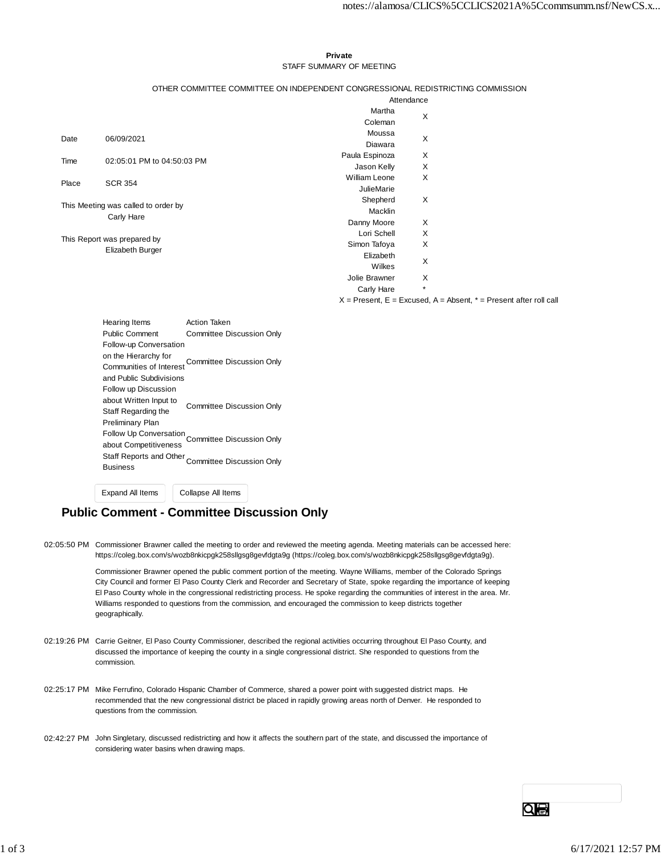#### **Private** STAFF SUMMARY OF MEETING

#### OTHER COMMITTEE COMMITTEE ON INDEPENDENT CONGRESSIONAL REDISTRICTING COMMISSION

|                                                   |                            | Attendance           |         |
|---------------------------------------------------|----------------------------|----------------------|---------|
|                                                   |                            | Martha               | X       |
|                                                   |                            | Coleman              |         |
| Date                                              | 06/09/2021                 | Moussa               | X       |
|                                                   |                            | Diawara              |         |
| Time                                              | 02:05:01 PM to 04:50:03 PM | Paula Espinoza       | X       |
|                                                   |                            | Jason Kelly          | X       |
| Place                                             | <b>SCR 354</b>             | <b>William Leone</b> | X       |
|                                                   |                            | <b>JulieMarie</b>    |         |
| This Meeting was called to order by<br>Carly Hare |                            | Shepherd             | X       |
|                                                   |                            | Macklin              |         |
|                                                   |                            | Danny Moore          | X       |
| This Report was prepared by                       |                            | Lori Schell          | X       |
|                                                   |                            | Simon Tafoya         | X       |
|                                                   | Elizabeth Burger           | Elizabeth            | X       |
|                                                   |                            | Wilkes               |         |
|                                                   |                            | Jolie Brawner        | X       |
|                                                   |                            | Carly Hare           | $\star$ |

 $X =$  Present,  $E =$  Excused,  $A =$  Absent,  $* =$  Present after roll call

| <b>Hearing Items</b>    | Action Taken                                        |  |  |  |
|-------------------------|-----------------------------------------------------|--|--|--|
| Public Comment          | <b>Committee Discussion Only</b>                    |  |  |  |
| Follow-up Conversation  |                                                     |  |  |  |
| on the Hierarchy for    | Committee Discussion Only                           |  |  |  |
| Communities of Interest |                                                     |  |  |  |
| and Public Subdivisions |                                                     |  |  |  |
| Follow up Discussion    |                                                     |  |  |  |
| about Written Input to  | <b>Committee Discussion Only</b>                    |  |  |  |
| Staff Regarding the     |                                                     |  |  |  |
| Preliminary Plan        |                                                     |  |  |  |
|                         | Follow Up Conversation<br>Committee Discussion Only |  |  |  |
| about Competitiveness   |                                                     |  |  |  |
| Staff Reports and Other | Committee Discussion Only                           |  |  |  |
| Business                |                                                     |  |  |  |
|                         |                                                     |  |  |  |

Expand All Items Collapse All Items

# **Public Comment - Committee Discussion Only**

02:05:50 PM Commissioner Brawner called the meeting to order and reviewed the meeting agenda. Meeting materials can be accessed here: https://coleg.box.com/s/wozb8nkicpgk258sllgsg8gevfdgta9g (https://coleg.box.com/s/wozb8nkicpgk258sllgsg8gevfdgta9g).

> Commissioner Brawner opened the public comment portion of the meeting. Wayne Williams, member of the Colorado Springs City Council and former El Paso County Clerk and Recorder and Secretary of State, spoke regarding the importance of keeping El Paso County whole in the congressional redistricting process. He spoke regarding the communities of interest in the area. Mr. Williams responded to questions from the commission, and encouraged the commission to keep districts together geographically.

- 02:19:26 PM Carrie Geitner, El Paso County Commissioner, described the regional activities occurring throughout El Paso County, and discussed the importance of keeping the county in a single congressional district. She responded to questions from the commission.
- 02:25:17 PM Mike Ferrufino, Colorado Hispanic Chamber of Commerce, shared a power point with suggested district maps. He recommended that the new congressional district be placed in rapidly growing areas north of Denver. He responded to questions from the commission.
- 02:42:27 PM John Singletary, discussed redistricting and how it affects the southern part of the state, and discussed the importance of considering water basins when drawing maps.

GЮ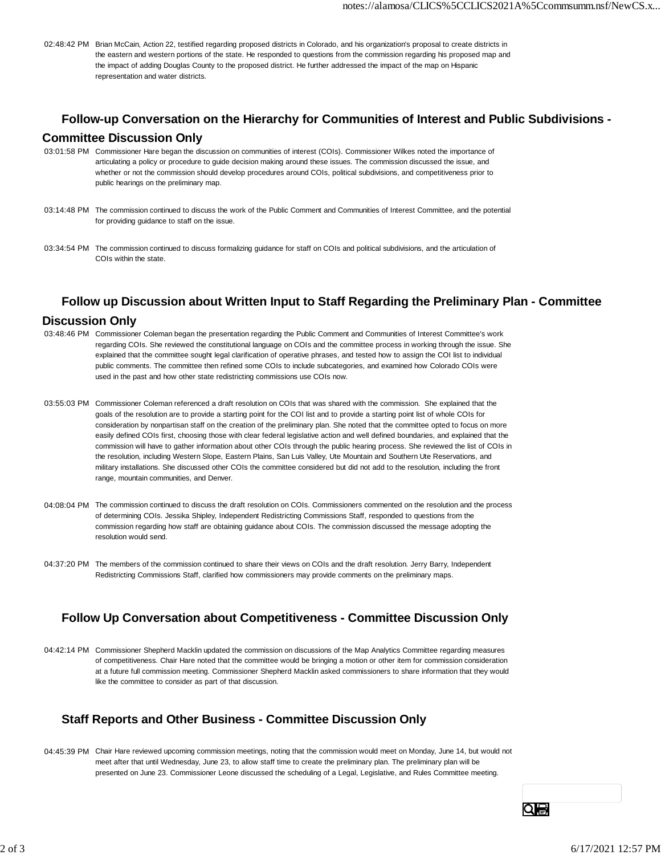02:48:42 PM Brian McCain, Action 22, testified regarding proposed districts in Colorado, and his organization's proposal to create districts in the eastern and western portions of the state. He responded to questions from the commission regarding his proposed map and the impact of adding Douglas County to the proposed district. He further addressed the impact of the map on Hispanic representation and water districts.

## **Follow-up Conversation on the Hierarchy for Communities of Interest and Public Subdivisions -**

### **Committee Discussion Only**

- 03:01:58 PM Commissioner Hare began the discussion on communities of interest (COIs). Commissioner Wilkes noted the importance of articulating a policy or procedure to guide decision making around these issues. The commission discussed the issue, and whether or not the commission should develop procedures around COIs, political subdivisions, and competitiveness prior to public hearings on the preliminary map.
- 03:14:48 PM The commission continued to discuss the work of the Public Comment and Communities of Interest Committee, and the potential for providing guidance to staff on the issue.
- 03:34:54 PM The commission continued to discuss formalizing guidance for staff on COIs and political subdivisions, and the articulation of COIs within the state.

## **Follow up Discussion about Written Input to Staff Regarding the Preliminary Plan - Committee**

### **Discussion Only**

- 03:48:46 PM Commissioner Coleman began the presentation regarding the Public Comment and Communities of Interest Committee's work regarding COIs. She reviewed the constitutional language on COIs and the committee process in working through the issue. She explained that the committee sought legal clarification of operative phrases, and tested how to assign the COI list to individual public comments. The committee then refined some COIs to include subcategories, and examined how Colorado COIs were used in the past and how other state redistricting commissions use COIs now.
- 03:55:03 PM Commissioner Coleman referenced a draft resolution on COIs that was shared with the commission. She explained that the goals of the resolution are to provide a starting point for the COI list and to provide a starting point list of whole COIs for consideration by nonpartisan staff on the creation of the preliminary plan. She noted that the committee opted to focus on more easily defined COIs first, choosing those with clear federal legislative action and well defined boundaries, and explained that the commission will have to gather information about other COIs through the public hearing process. She reviewed the list of COIs in the resolution, including Western Slope, Eastern Plains, San Luis Valley, Ute Mountain and Southern Ute Reservations, and military installations. She discussed other COIs the committee considered but did not add to the resolution, including the front range, mountain communities, and Denver.
- 04:08:04 PM The commission continued to discuss the draft resolution on COIs. Commissioners commented on the resolution and the process of determining COIs. Jessika Shipley, Independent Redistricting Commissions Staff, responded to questions from the commission regarding how staff are obtaining guidance about COIs. The commission discussed the message adopting the resolution would send.
- 04:37:20 PM The members of the commission continued to share their views on COIs and the draft resolution. Jerry Barry, Independent Redistricting Commissions Staff, clarified how commissioners may provide comments on the preliminary maps.

# **Follow Up Conversation about Competitiveness - Committee Discussion Only**

04:42:14 PM Commissioner Shepherd Macklin updated the commission on discussions of the Map Analytics Committee regarding measures of competitiveness. Chair Hare noted that the committee would be bringing a motion or other item for commission consideration at a future full commission meeting. Commissioner Shepherd Macklin asked commissioners to share information that they would like the committee to consider as part of that discussion.

# **Staff Reports and Other Business - Committee Discussion Only**

04:45:39 PM Chair Hare reviewed upcoming commission meetings, noting that the commission would meet on Monday, June 14, but would not meet after that until Wednesday, June 23, to allow staff time to create the preliminary plan. The preliminary plan will be presented on June 23. Commissioner Leone discussed the scheduling of a Legal, Legislative, and Rules Committee meeting.